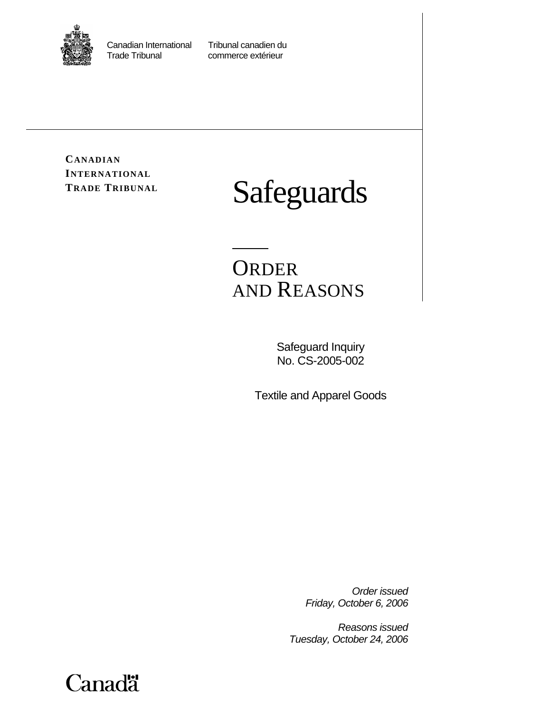

Canadian International Tribunal canadien du<br>Trade Tribunal commerce extérieur

commerce extérieur

**CANADIAN INTERNATIONAL**

# **TRADE TRIBUNAL Safeguards**

## **ORDER** AND REASONS

Safeguard Inquiry No. CS-2005-002

Textile and Apparel Goods

*Order issued Friday, October 6, 2006* 

*Reasons issued Tuesday, October 24, 2006* 

**Canadä**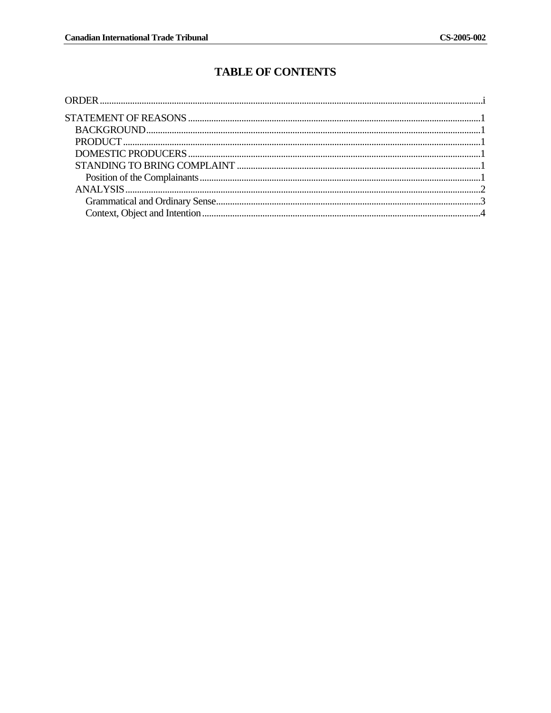### **TABLE OF CONTENTS**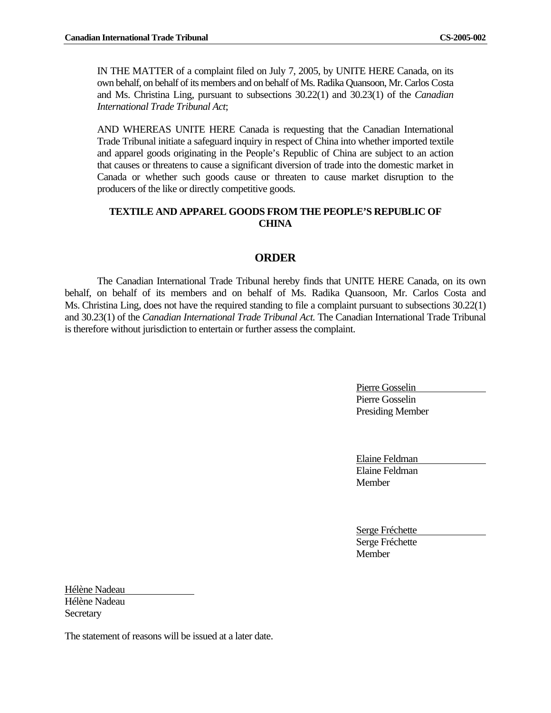IN THE MATTER of a complaint filed on July 7, 2005, by UNITE HERE Canada, on its own behalf, on behalf of its members and on behalf of Ms. Radika Quansoon, Mr. Carlos Costa and Ms. Christina Ling, pursuant to subsections 30.22(1) and 30.23(1) of the *Canadian International Trade Tribunal Act*;

AND WHEREAS UNITE HERE Canada is requesting that the Canadian International Trade Tribunal initiate a safeguard inquiry in respect of China into whether imported textile and apparel goods originating in the People's Republic of China are subject to an action that causes or threatens to cause a significant diversion of trade into the domestic market in Canada or whether such goods cause or threaten to cause market disruption to the producers of the like or directly competitive goods.

#### **TEXTILE AND APPAREL GOODS FROM THE PEOPLE'S REPUBLIC OF CHINA**

#### **ORDER**

The Canadian International Trade Tribunal hereby finds that UNITE HERE Canada, on its own behalf, on behalf of its members and on behalf of Ms. Radika Quansoon, Mr. Carlos Costa and Ms. Christina Ling, does not have the required standing to file a complaint pursuant to subsections 30.22(1) and 30.23(1) of the *Canadian International Trade Tribunal Act.* The Canadian International Trade Tribunal is therefore without jurisdiction to entertain or further assess the complaint.

> Pierre Gosselin Pierre Gosselin Presiding Member

Elaine Feldman Elaine Feldman **Member** 

Serge Fréchette Serge Fréchette Member

Hélène Nadeau Hélène Nadeau **Secretary** 

The statement of reasons will be issued at a later date.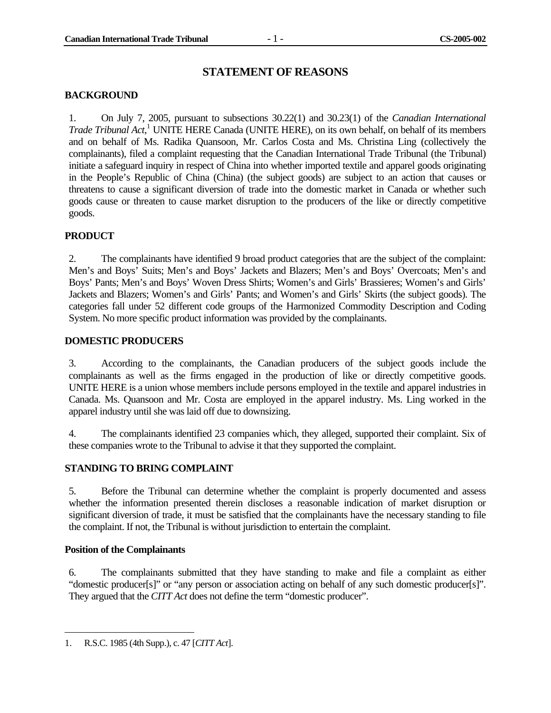#### **STATEMENT OF REASONS**

#### **BACKGROUND**

1. On July 7, 2005, pursuant to subsections 30.22(1) and 30.23(1) of the *Canadian International Trade Tribunal Act*, 1 UNITE HERE Canada (UNITE HERE), on its own behalf, on behalf of its members and on behalf of Ms. Radika Quansoon, Mr. Carlos Costa and Ms. Christina Ling (collectively the complainants), filed a complaint requesting that the Canadian International Trade Tribunal (the Tribunal) initiate a safeguard inquiry in respect of China into whether imported textile and apparel goods originating in the People's Republic of China (China) (the subject goods) are subject to an action that causes or threatens to cause a significant diversion of trade into the domestic market in Canada or whether such goods cause or threaten to cause market disruption to the producers of the like or directly competitive goods.

#### **PRODUCT**

2. The complainants have identified 9 broad product categories that are the subject of the complaint: Men's and Boys' Suits; Men's and Boys' Jackets and Blazers; Men's and Boys' Overcoats; Men's and Boys' Pants; Men's and Boys' Woven Dress Shirts; Women's and Girls' Brassieres; Women's and Girls' Jackets and Blazers; Women's and Girls' Pants; and Women's and Girls' Skirts (the subject goods). The categories fall under 52 different code groups of the Harmonized Commodity Description and Coding System. No more specific product information was provided by the complainants.

#### **DOMESTIC PRODUCERS**

3. According to the complainants, the Canadian producers of the subject goods include the complainants as well as the firms engaged in the production of like or directly competitive goods. UNITE HERE is a union whose members include persons employed in the textile and apparel industries in Canada. Ms. Quansoon and Mr. Costa are employed in the apparel industry. Ms. Ling worked in the apparel industry until she was laid off due to downsizing.

4. The complainants identified 23 companies which, they alleged, supported their complaint. Six of these companies wrote to the Tribunal to advise it that they supported the complaint.

#### **STANDING TO BRING COMPLAINT**

5. Before the Tribunal can determine whether the complaint is properly documented and assess whether the information presented therein discloses a reasonable indication of market disruption or significant diversion of trade, it must be satisfied that the complainants have the necessary standing to file the complaint. If not, the Tribunal is without jurisdiction to entertain the complaint.

#### **Position of the Complainants**

-

6. The complainants submitted that they have standing to make and file a complaint as either "domestic producer[s]" or "any person or association acting on behalf of any such domestic producer[s]". They argued that the *CITT Act* does not define the term "domestic producer".

<sup>1.</sup> R.S.C. 1985 (4th Supp.), c. 47 [*CITT Act*].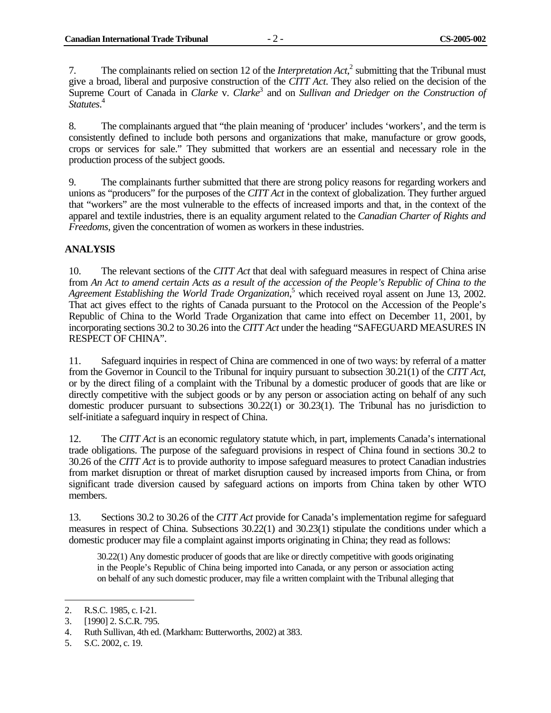7. The complainants relied on section 12 of the *Interpretation Act*, $^2$  submitting that the Tribunal must give a broad, liberal and purposive construction of the *CITT Act*. They also relied on the decision of the Supreme Court of Canada in *Clarke* v. *Clarke*<sup>3</sup> and on *Sullivan and Driedger on the Construction of Statutes*. 4

8. The complainants argued that "the plain meaning of 'producer' includes 'workers', and the term is consistently defined to include both persons and organizations that make, manufacture or grow goods, crops or services for sale." They submitted that workers are an essential and necessary role in the production process of the subject goods.

9. The complainants further submitted that there are strong policy reasons for regarding workers and unions as "producers" for the purposes of the *CITT Act* in the context of globalization. They further argued that "workers" are the most vulnerable to the effects of increased imports and that, in the context of the apparel and textile industries, there is an equality argument related to the *Canadian Charter of Rights and Freedoms*, given the concentration of women as workers in these industries.

#### **ANALYSIS**

10. The relevant sections of the *CITT Act* that deal with safeguard measures in respect of China arise from *An Act to amend certain Acts as a result of the accession of the People's Republic of China to the*  Agreement Establishing the World Trade Organization,<sup>5</sup> which received royal assent on June 13, 2002. That act gives effect to the rights of Canada pursuant to the Protocol on the Accession of the People's Republic of China to the World Trade Organization that came into effect on December 11, 2001, by incorporating sections 30.2 to 30.26 into the *CITT Act* under the heading "SAFEGUARD MEASURES IN RESPECT OF CHINA".

11. Safeguard inquiries in respect of China are commenced in one of two ways: by referral of a matter from the Governor in Council to the Tribunal for inquiry pursuant to subsection 30.21(1) of the *CITT Act*, or by the direct filing of a complaint with the Tribunal by a domestic producer of goods that are like or directly competitive with the subject goods or by any person or association acting on behalf of any such domestic producer pursuant to subsections 30.22(1) or 30.23(1). The Tribunal has no jurisdiction to self-initiate a safeguard inquiry in respect of China.

12. The *CITT Act* is an economic regulatory statute which, in part, implements Canada's international trade obligations. The purpose of the safeguard provisions in respect of China found in sections 30.2 to 30.26 of the *CITT Act* is to provide authority to impose safeguard measures to protect Canadian industries from market disruption or threat of market disruption caused by increased imports from China, or from significant trade diversion caused by safeguard actions on imports from China taken by other WTO members.

13. Sections 30.2 to 30.26 of the *CITT Act* provide for Canada's implementation regime for safeguard measures in respect of China. Subsections 30.22(1) and 30.23(1) stipulate the conditions under which a domestic producer may file a complaint against imports originating in China; they read as follows:

30.22(1) Any domestic producer of goods that are like or directly competitive with goods originating in the People's Republic of China being imported into Canada, or any person or association acting on behalf of any such domestic producer, may file a written complaint with the Tribunal alleging that

<sup>2.</sup> R.S.C. 1985, c. I-21.

<sup>3. [1990] 2.</sup> S.C.R. 795.

<sup>4.</sup> Ruth Sullivan, 4th ed. (Markham: Butterworths, 2002) at 383.

<sup>5.</sup> S.C. 2002, c. 19.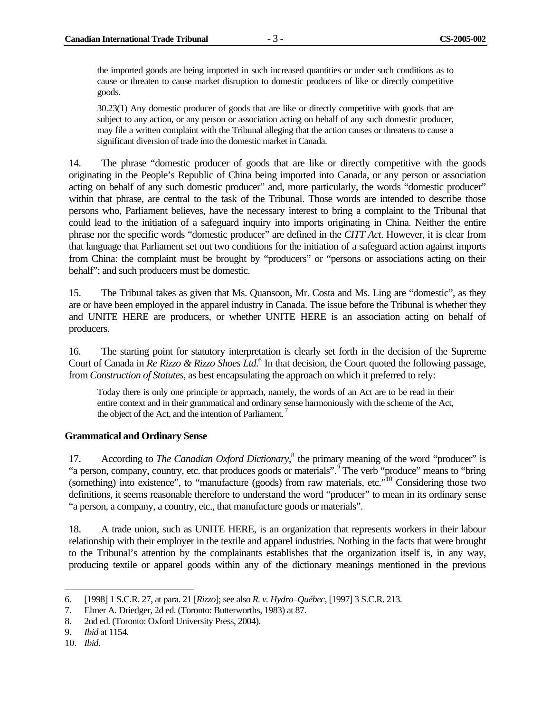the imported goods are being imported in such increased quantities or under such conditions as to cause or threaten to cause market disruption to domestic producers of like or directly competitive goods.

30.23(1) Any domestic producer of goods that are like or directly competitive with goods that are subject to any action, or any person or association acting on behalf of any such domestic producer, may file a written complaint with the Tribunal alleging that the action causes or threatens to cause a significant diversion of trade into the domestic market in Canada.

14. The phrase "domestic producer of goods that are like or directly competitive with the goods originating in the People's Republic of China being imported into Canada, or any person or association acting on behalf of any such domestic producer" and, more particularly, the words "domestic producer" within that phrase, are central to the task of the Tribunal. Those words are intended to describe those persons who, Parliament believes, have the necessary interest to bring a complaint to the Tribunal that could lead to the initiation of a safeguard inquiry into imports originating in China. Neither the entire phrase nor the specific words "domestic producer" are defined in the *CITT Act*. However, it is clear from that language that Parliament set out two conditions for the initiation of a safeguard action against imports from China: the complaint must be brought by "producers" or "persons or associations acting on their behalf"; and such producers must be domestic.

15. The Tribunal takes as given that Ms. Quansoon, Mr. Costa and Ms. Ling are "domestic", as they are or have been employed in the apparel industry in Canada. The issue before the Tribunal is whether they and UNITE HERE are producers, or whether UNITE HERE is an association acting on behalf of producers.

16. The starting point for statutory interpretation is clearly set forth in the decision of the Supreme Court of Canada in *Re Rizzo & Rizzo Shoes Ltd*.<sup>6</sup> In that decision, the Court quoted the following passage, from *Construction of Statutes*, as best encapsulating the approach on which it preferred to rely:

Today there is only one principle or approach, namely, the words of an Act are to be read in their entire context and in their grammatical and ordinary sense harmoniously with the scheme of the Act, the object of the Act, and the intention of Parliament.

#### **Grammatical and Ordinary Sense**

17. According to *The Canadian Oxford Dictionary*,<sup>8</sup> the primary meaning of the word "producer" is "a person, company, country, etc. that produces goods or materials".<sup>9</sup> The verb "produce" means to "bring (something) into existence", to "manufacture (goods) from raw materials, etc."10 Considering those two definitions, it seems reasonable therefore to understand the word "producer" to mean in its ordinary sense "a person, a company, a country, etc., that manufacture goods or materials".

18. A trade union, such as UNITE HERE, is an organization that represents workers in their labour relationship with their employer in the textile and apparel industries. Nothing in the facts that were brought to the Tribunal's attention by the complainants establishes that the organization itself is, in any way, producing textile or apparel goods within any of the dictionary meanings mentioned in the previous

 $\overline{a}$ 

<sup>6. [1998] 1</sup> S.C.R. 27, at para. 21 [*Rizzo*]; see also *R. v. Hydro–Québec*, [1997] 3 S.C.R. 213.

<sup>7.</sup> Elmer A. Driedger, 2d ed. (Toronto: Butterworths, 1983) at 87.

<sup>8. 2</sup>nd ed. (Toronto: Oxford University Press, 2004).

<sup>9.</sup> *Ibid* at 1154.

<sup>10.</sup> *Ibid*.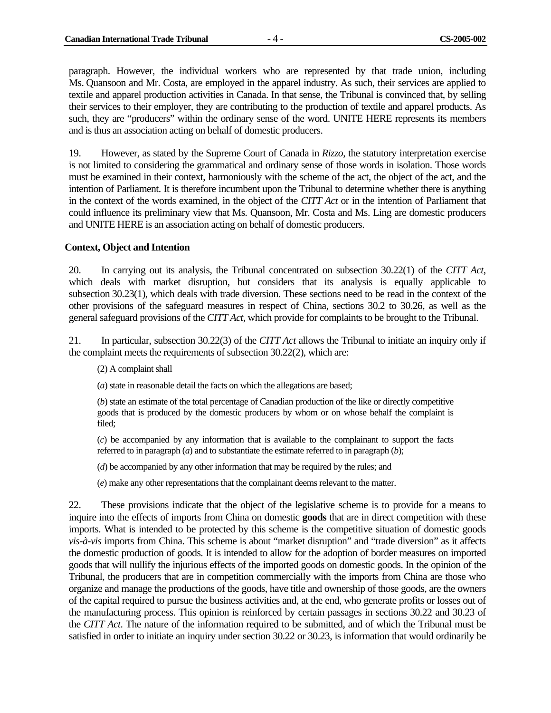paragraph. However, the individual workers who are represented by that trade union, including Ms. Quansoon and Mr. Costa, are employed in the apparel industry. As such, their services are applied to textile and apparel production activities in Canada. In that sense, the Tribunal is convinced that, by selling their services to their employer, they are contributing to the production of textile and apparel products. As such, they are "producers" within the ordinary sense of the word. UNITE HERE represents its members and is thus an association acting on behalf of domestic producers.

19. However, as stated by the Supreme Court of Canada in *Rizzo*, the statutory interpretation exercise is not limited to considering the grammatical and ordinary sense of those words in isolation. Those words must be examined in their context, harmoniously with the scheme of the act, the object of the act, and the intention of Parliament. It is therefore incumbent upon the Tribunal to determine whether there is anything in the context of the words examined, in the object of the *CITT Act* or in the intention of Parliament that could influence its preliminary view that Ms. Quansoon, Mr. Costa and Ms. Ling are domestic producers and UNITE HERE is an association acting on behalf of domestic producers.

#### **Context, Object and Intention**

20. In carrying out its analysis, the Tribunal concentrated on subsection 30.22(1) of the *CITT Act*, which deals with market disruption, but considers that its analysis is equally applicable to subsection 30.23(1), which deals with trade diversion. These sections need to be read in the context of the other provisions of the safeguard measures in respect of China, sections 30.2 to 30.26, as well as the general safeguard provisions of the *CITT Act*, which provide for complaints to be brought to the Tribunal.

21. In particular, subsection 30.22(3) of the *CITT Act* allows the Tribunal to initiate an inquiry only if the complaint meets the requirements of subsection 30.22(2), which are:

(2) A complaint shall

(*a*) state in reasonable detail the facts on which the allegations are based;

(*b*) state an estimate of the total percentage of Canadian production of the like or directly competitive goods that is produced by the domestic producers by whom or on whose behalf the complaint is filed;

(*c*) be accompanied by any information that is available to the complainant to support the facts referred to in paragraph (*a*) and to substantiate the estimate referred to in paragraph (*b*);

(*d*) be accompanied by any other information that may be required by the rules; and

(*e*) make any other representations that the complainant deems relevant to the matter.

22. These provisions indicate that the object of the legislative scheme is to provide for a means to inquire into the effects of imports from China on domestic **goods** that are in direct competition with these imports. What is intended to be protected by this scheme is the competitive situation of domestic goods *vis-à-vis* imports from China. This scheme is about "market disruption" and "trade diversion" as it affects the domestic production of goods. It is intended to allow for the adoption of border measures on imported goods that will nullify the injurious effects of the imported goods on domestic goods. In the opinion of the Tribunal, the producers that are in competition commercially with the imports from China are those who organize and manage the productions of the goods, have title and ownership of those goods, are the owners of the capital required to pursue the business activities and, at the end, who generate profits or losses out of the manufacturing process. This opinion is reinforced by certain passages in sections 30.22 and 30.23 of the *CITT Act*. The nature of the information required to be submitted, and of which the Tribunal must be satisfied in order to initiate an inquiry under section 30.22 or 30.23, is information that would ordinarily be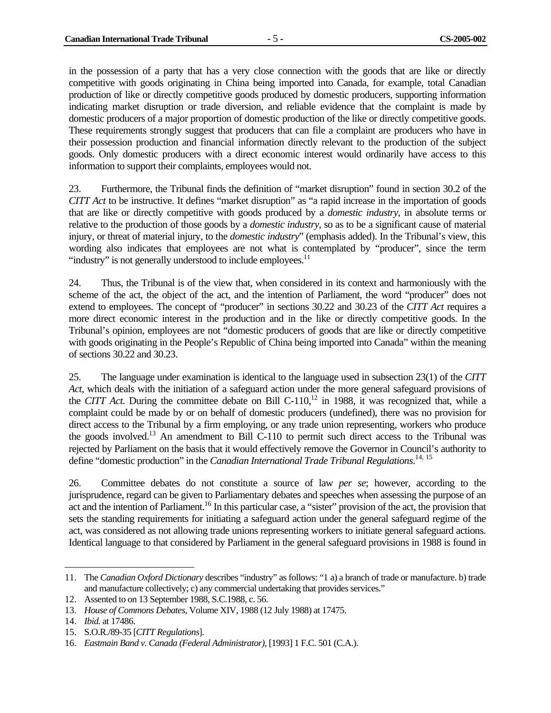in the possession of a party that has a very close connection with the goods that are like or directly competitive with goods originating in China being imported into Canada, for example, total Canadian production of like or directly competitive goods produced by domestic producers, supporting information indicating market disruption or trade diversion, and reliable evidence that the complaint is made by domestic producers of a major proportion of domestic production of the like or directly competitive goods. These requirements strongly suggest that producers that can file a complaint are producers who have in their possession production and financial information directly relevant to the production of the subject goods. Only domestic producers with a direct economic interest would ordinarily have access to this information to support their complaints, employees would not.

23. Furthermore, the Tribunal finds the definition of "market disruption" found in section 30.2 of the *CITT Act* to be instructive. It defines "market disruption" as "a rapid increase in the importation of goods that are like or directly competitive with goods produced by a *domestic industry*, in absolute terms or relative to the production of those goods by a *domestic industry*, so as to be a significant cause of material injury, or threat of material injury, to the *domestic industry*" (emphasis added). In the Tribunal's view, this wording also indicates that employees are not what is contemplated by "producer", since the term "industry" is not generally understood to include employees. $<sup>11</sup>$ </sup>

24. Thus, the Tribunal is of the view that, when considered in its context and harmoniously with the scheme of the act, the object of the act, and the intention of Parliament, the word "producer" does not extend to employees. The concept of "producer" in sections 30.22 and 30.23 of the *CITT Act* requires a more direct economic interest in the production and in the like or directly competitive goods. In the Tribunal's opinion, employees are not "domestic producers of goods that are like or directly competitive with goods originating in the People's Republic of China being imported into Canada" within the meaning of sections 30.22 and 30.23.

25. The language under examination is identical to the language used in subsection 23(1) of the *CITT Act*, which deals with the initiation of a safeguard action under the more general safeguard provisions of the *CITT Act*. During the committee debate on Bill C-110,<sup>12</sup> in 1988, it was recognized that, while a complaint could be made by or on behalf of domestic producers (undefined), there was no provision for direct access to the Tribunal by a firm employing, or any trade union representing, workers who produce the goods involved.<sup>13</sup> An amendment to Bill C-110 to permit such direct access to the Tribunal was rejected by Parliament on the basis that it would effectively remove the Governor in Council's authority to define "domestic production" in the *Canadian International Trade Tribunal Regulations*. 14, 15

26. Committee debates do not constitute a source of law *per se*; however, according to the jurisprudence, regard can be given to Parliamentary debates and speeches when assessing the purpose of an act and the intention of Parliament.16 In this particular case, a "sister" provision of the act, the provision that sets the standing requirements for initiating a safeguard action under the general safeguard regime of the act, was considered as not allowing trade unions representing workers to initiate general safeguard actions. Identical language to that considered by Parliament in the general safeguard provisions in 1988 is found in

<sup>11.</sup> The *Canadian Oxford Dictionary* describes "industry" as follows: "1 a) a branch of trade or manufacture. b) trade and manufacture collectively; c) any commercial undertaking that provides services."

<sup>12.</sup> Assented to on 13 September 1988, S.C.1988, c. 56.

<sup>13.</sup> *House of Commons Debates*, Volume XIV, 1988 (12 July 1988) at 17475.

<sup>14.</sup> *Ibid.* at 17486.

<sup>15.</sup> S.O.R./89-35 [*CITT Regulations*].

<sup>16.</sup> *Eastmain Band v. Canada (Federal Administrator)*, [1993] 1 F.C. 501 (C.A.).